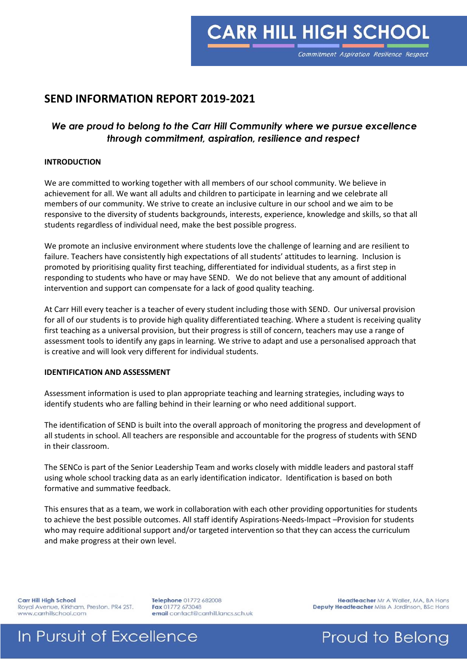**CARR HILL HIGH SCHOOL** 

### **SEND INFORMATION REPORT 2019-2021**

### *We are proud to belong to the Carr Hill Community where we pursue excellence through commitment, aspiration, resilience and respect*

#### **INTRODUCTION**

We are committed to working together with all members of our school community. We believe in achievement for all. We want all adults and children to participate in learning and we celebrate all members of our community. We strive to create an inclusive culture in our school and we aim to be responsive to the diversity of students backgrounds, interests, experience, knowledge and skills, so that all students regardless of individual need, make the best possible progress.

We promote an inclusive environment where students love the challenge of learning and are resilient to failure. Teachers have consistently high expectations of all students' attitudes to learning. Inclusion is promoted by prioritising quality first teaching, differentiated for individual students, as a first step in responding to students who have or may have SEND. We do not believe that any amount of additional intervention and support can compensate for a lack of good quality teaching.

At Carr Hill every teacher is a teacher of every student including those with SEND. Our universal provision for all of our students is to provide high quality differentiated teaching. Where a student is receiving quality first teaching as a universal provision, but their progress is still of concern, teachers may use a range of assessment tools to identify any gaps in learning. We strive to adapt and use a personalised approach that is creative and will look very different for individual students.

### **IDENTIFICATION AND ASSESSMENT**

Assessment information is used to plan appropriate teaching and learning strategies, including ways to identify students who are falling behind in their learning or who need additional support.

The identification of SEND is built into the overall approach of monitoring the progress and development of all students in school. All teachers are responsible and accountable for the progress of students with SEND in their classroom.

The SENCo is part of the Senior Leadership Team and works closely with middle leaders and pastoral staff using whole school tracking data as an early identification indicator. Identification is based on both formative and summative feedback.

This ensures that as a team, we work in collaboration with each other providing opportunities for students to achieve the best possible outcomes. All staff identify Aspirations-Needs-Impact –Provision for students who may require additional support and/or targeted intervention so that they can access the curriculum and make progress at their own level.

Carr Hill High School Royal Avenue, Kirkham, Preston. PR4 2ST. www.carrhillschool.com

Telephone 01772 682008 Fax 01772 673048 email contact@carrhill.lancs.sch.uk

Headteacher Mr A Waller, MA, BA Hons Deputy Headteacher Miss A Jordinson, BSc Hons

### In Pursuit of Excellence

Proud to Belong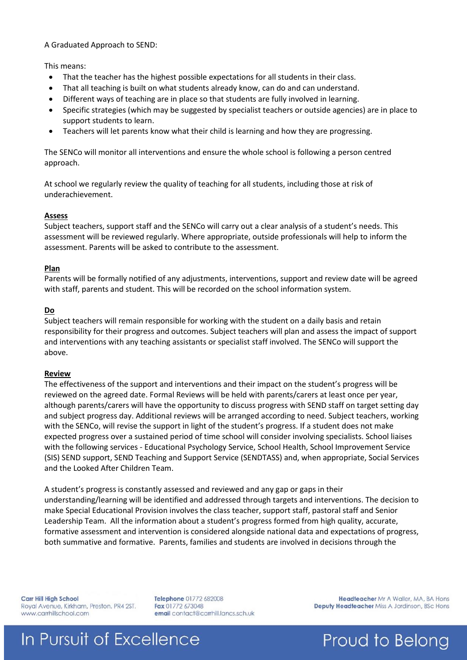A Graduated Approach to SEND:

This means:

- That the teacher has the highest possible expectations for all students in their class.
- That all teaching is built on what students already know, can do and can understand.
- Different ways of teaching are in place so that students are fully involved in learning.
- Specific strategies (which may be suggested by specialist teachers or outside agencies) are in place to support students to learn.
- Teachers will let parents know what their child is learning and how they are progressing.

The SENCo will monitor all interventions and ensure the whole school is following a person centred approach.

At school we regularly review the quality of teaching for all students, including those at risk of underachievement.

### **Assess**

Subject teachers, support staff and the SENCo will carry out a clear analysis of a student's needs. This assessment will be reviewed regularly. Where appropriate, outside professionals will help to inform the assessment. Parents will be asked to contribute to the assessment.

### **Plan**

Parents will be formally notified of any adjustments, interventions, support and review date will be agreed with staff, parents and student. This will be recorded on the school information system.

### **Do**

Subject teachers will remain responsible for working with the student on a daily basis and retain responsibility for their progress and outcomes. Subject teachers will plan and assess the impact of support and interventions with any teaching assistants or specialist staff involved. The SENCo will support the above.

### **Review**

The effectiveness of the support and interventions and their impact on the student's progress will be reviewed on the agreed date. Formal Reviews will be held with parents/carers at least once per year, although parents/carers will have the opportunity to discuss progress with SEND staff on target setting day and subject progress day. Additional reviews will be arranged according to need. Subject teachers, working with the SENCo, will revise the support in light of the student's progress. If a student does not make expected progress over a sustained period of time school will consider involving specialists. School liaises with the following services - Educational Psychology Service, School Health, School Improvement Service (SIS) SEND support, SEND Teaching and Support Service (SENDTASS) and, when appropriate, Social Services and the Looked After Children Team.

A student's progress is constantly assessed and reviewed and any gap or gaps in their understanding/learning will be identified and addressed through targets and interventions. The decision to make Special Educational Provision involves the class teacher, support staff, pastoral staff and Senior Leadership Team. All the information about a student's progress formed from high quality, accurate, formative assessment and intervention is considered alongside national data and expectations of progress, both summative and formative. Parents, families and students are involved in decisions through the

**Carr Hill High School** Royal Avenue, Kirkham, Preston. PR4 2ST. www.carrhillschool.com

Telephone 01772 682008 Fax 01772 673048 email contact@carrhill.lancs.sch.uk

Headteacher Mr A Waller, MA, BA Hons Deputy Headteacher Miss A Jordinson, BSc Hons

# In Pursuit of Excellence

### Proud to Belong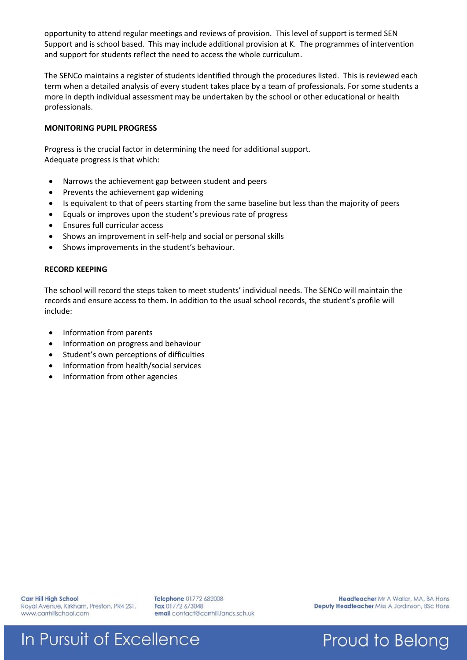opportunity to attend regular meetings and reviews of provision. This level of support is termed SEN Support and is school based. This may include additional provision at K. The programmes of intervention and support for students reflect the need to access the whole curriculum.

The SENCo maintains a register of students identified through the procedures listed. This is reviewed each term when a detailed analysis of every student takes place by a team of professionals. For some students a more in depth individual assessment may be undertaken by the school or other educational or health professionals.

### **MONITORING PUPIL PROGRESS**

Progress is the crucial factor in determining the need for additional support. Adequate progress is that which:

- Narrows the achievement gap between student and peers
- Prevents the achievement gap widening
- Is equivalent to that of peers starting from the same baseline but less than the majority of peers
- Equals or improves upon the student's previous rate of progress
- Ensures full curricular access
- Shows an improvement in self-help and social or personal skills
- Shows improvements in the student's behaviour.

### **RECORD KEEPING**

The school will record the steps taken to meet students' individual needs. The SENCo will maintain the records and ensure access to them. In addition to the usual school records, the student's profile will include:

- Information from parents
- Information on progress and behaviour
- Student's own perceptions of difficulties
- Information from health/social services
- Information from other agencies

Telephone 01772 682008 Fax 01772 673048 email contact@carrhill.lancs.sch.uk

Headteacher Mr A Waller, MA, BA Hons Deputy Headteacher Miss A Jordinson, BSc Hons

Proud to Belong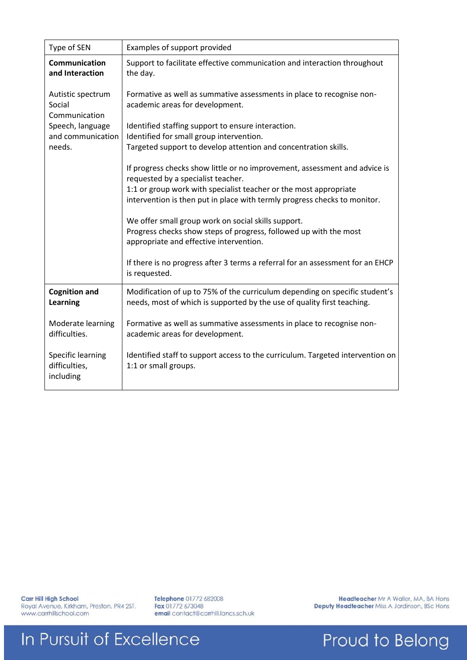| Type of SEN                                     | Examples of support provided                                                                                                                                                                                                                                                                                                                                                                                                              |  |  |
|-------------------------------------------------|-------------------------------------------------------------------------------------------------------------------------------------------------------------------------------------------------------------------------------------------------------------------------------------------------------------------------------------------------------------------------------------------------------------------------------------------|--|--|
| <b>Communication</b><br>and Interaction         | Support to facilitate effective communication and interaction throughout<br>the day.                                                                                                                                                                                                                                                                                                                                                      |  |  |
| Autistic spectrum<br>Social<br>Communication    | Formative as well as summative assessments in place to recognise non-<br>academic areas for development.                                                                                                                                                                                                                                                                                                                                  |  |  |
| Speech, language                                | Identified staffing support to ensure interaction.                                                                                                                                                                                                                                                                                                                                                                                        |  |  |
| and communication<br>needs.                     | Identified for small group intervention.<br>Targeted support to develop attention and concentration skills.                                                                                                                                                                                                                                                                                                                               |  |  |
|                                                 | If progress checks show little or no improvement, assessment and advice is<br>requested by a specialist teacher.<br>1:1 or group work with specialist teacher or the most appropriate<br>intervention is then put in place with termly progress checks to monitor.<br>We offer small group work on social skills support.<br>Progress checks show steps of progress, followed up with the most<br>appropriate and effective intervention. |  |  |
|                                                 | If there is no progress after 3 terms a referral for an assessment for an EHCP<br>is requested.                                                                                                                                                                                                                                                                                                                                           |  |  |
| <b>Cognition and</b><br>Learning                | Modification of up to 75% of the curriculum depending on specific student's<br>needs, most of which is supported by the use of quality first teaching.                                                                                                                                                                                                                                                                                    |  |  |
| Moderate learning<br>difficulties.              | Formative as well as summative assessments in place to recognise non-<br>academic areas for development.                                                                                                                                                                                                                                                                                                                                  |  |  |
| Specific learning<br>difficulties,<br>including | Identified staff to support access to the curriculum. Targeted intervention on<br>1:1 or small groups.                                                                                                                                                                                                                                                                                                                                    |  |  |

Carr Hill High School Royal Avenue, Kirkham, Preston. PR4 2ST.<br>www.carrhillschool.com Telephone 01772 682008<br>Fax 01772 673048<br>email contact@carrhill.lancs.sch.uk

Headteacher Mr A Waller, MA, BA Hons Deputy Headteacher Miss A Jordinson, BSc Hons

Proud to Belong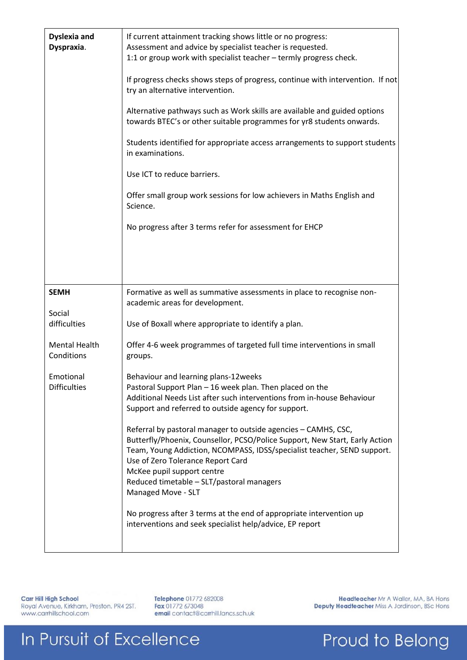| <b>Dyslexia and</b><br>Dyspraxia.  | If current attainment tracking shows little or no progress:<br>Assessment and advice by specialist teacher is requested.<br>1:1 or group work with specialist teacher - termly progress check.<br>If progress checks shows steps of progress, continue with intervention. If not<br>try an alternative intervention.<br>Alternative pathways such as Work skills are available and guided options<br>towards BTEC's or other suitable programmes for yr8 students onwards.<br>Students identified for appropriate access arrangements to support students<br>in examinations.<br>Use ICT to reduce barriers.<br>Offer small group work sessions for low achievers in Maths English and<br>Science.<br>No progress after 3 terms refer for assessment for EHCP |
|------------------------------------|---------------------------------------------------------------------------------------------------------------------------------------------------------------------------------------------------------------------------------------------------------------------------------------------------------------------------------------------------------------------------------------------------------------------------------------------------------------------------------------------------------------------------------------------------------------------------------------------------------------------------------------------------------------------------------------------------------------------------------------------------------------|
| <b>SEMH</b><br>Social              | Formative as well as summative assessments in place to recognise non-<br>academic areas for development.                                                                                                                                                                                                                                                                                                                                                                                                                                                                                                                                                                                                                                                      |
| difficulties                       | Use of Boxall where appropriate to identify a plan.                                                                                                                                                                                                                                                                                                                                                                                                                                                                                                                                                                                                                                                                                                           |
| <b>Mental Health</b><br>Conditions | Offer 4-6 week programmes of targeted full time interventions in small<br>groups.                                                                                                                                                                                                                                                                                                                                                                                                                                                                                                                                                                                                                                                                             |
| Emotional<br><b>Difficulties</b>   | Behaviour and learning plans-12weeks<br>Pastoral Support Plan - 16 week plan. Then placed on the<br>Additional Needs List after such interventions from in-house Behaviour<br>Support and referred to outside agency for support.<br>Referral by pastoral manager to outside agencies - CAMHS, CSC,<br>Butterfly/Phoenix, Counsellor, PCSO/Police Support, New Start, Early Action<br>Team, Young Addiction, NCOMPASS, IDSS/specialist teacher, SEND support.<br>Use of Zero Tolerance Report Card<br>McKee pupil support centre<br>Reduced timetable - SLT/pastoral managers<br>Managed Move - SLT<br>No progress after 3 terms at the end of appropriate intervention up<br>interventions and seek specialist help/advice, EP report                        |

Carr Hill High School Royal Avenue, Kirkham, Preston. PR4 2ST.<br>www.carrhillschool.com Telephone 01772 682008<br>Fax 01772 673048<br>email contact@carrhill.lancs.sch.uk

Headteacher Mr A Waller, MA, BA Hons Deputy Headteacher Miss A Jordinson, BSc Hons

Proud to Belong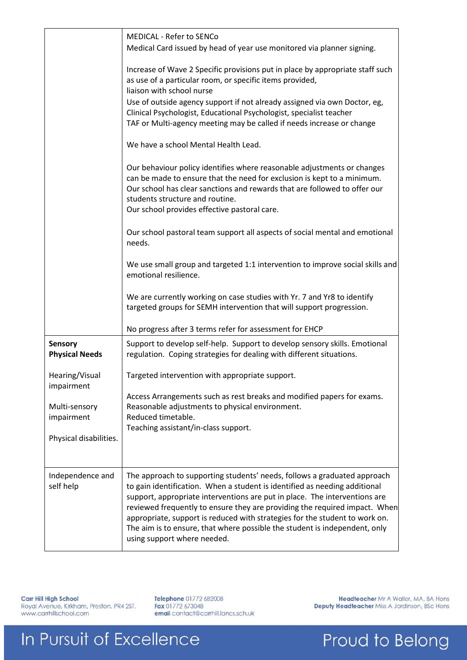|                                         | <b>MEDICAL - Refer to SENCo</b><br>Medical Card issued by head of year use monitored via planner signing.                                                                                                                                                                                                                                                                                                                                                                                                      |  |
|-----------------------------------------|----------------------------------------------------------------------------------------------------------------------------------------------------------------------------------------------------------------------------------------------------------------------------------------------------------------------------------------------------------------------------------------------------------------------------------------------------------------------------------------------------------------|--|
|                                         | Increase of Wave 2 Specific provisions put in place by appropriate staff such<br>as use of a particular room, or specific items provided,<br>liaison with school nurse                                                                                                                                                                                                                                                                                                                                         |  |
|                                         | Use of outside agency support if not already assigned via own Doctor, eg,<br>Clinical Psychologist, Educational Psychologist, specialist teacher<br>TAF or Multi-agency meeting may be called if needs increase or change                                                                                                                                                                                                                                                                                      |  |
|                                         | We have a school Mental Health Lead.                                                                                                                                                                                                                                                                                                                                                                                                                                                                           |  |
|                                         | Our behaviour policy identifies where reasonable adjustments or changes<br>can be made to ensure that the need for exclusion is kept to a minimum.<br>Our school has clear sanctions and rewards that are followed to offer our<br>students structure and routine.<br>Our school provides effective pastoral care.                                                                                                                                                                                             |  |
|                                         | Our school pastoral team support all aspects of social mental and emotional<br>needs.                                                                                                                                                                                                                                                                                                                                                                                                                          |  |
|                                         | We use small group and targeted 1:1 intervention to improve social skills and<br>emotional resilience.                                                                                                                                                                                                                                                                                                                                                                                                         |  |
|                                         | We are currently working on case studies with Yr. 7 and Yr8 to identify<br>targeted groups for SEMH intervention that will support progression.                                                                                                                                                                                                                                                                                                                                                                |  |
|                                         | No progress after 3 terms refer for assessment for EHCP                                                                                                                                                                                                                                                                                                                                                                                                                                                        |  |
| <b>Sensory</b><br><b>Physical Needs</b> | Support to develop self-help. Support to develop sensory skills. Emotional<br>regulation. Coping strategies for dealing with different situations.                                                                                                                                                                                                                                                                                                                                                             |  |
| Hearing/Visual<br>impairment            | Targeted intervention with appropriate support.                                                                                                                                                                                                                                                                                                                                                                                                                                                                |  |
| Multi-sensory<br>impairment             | Access Arrangements such as rest breaks and modified papers for exams.<br>Reasonable adjustments to physical environment.<br>Reduced timetable.                                                                                                                                                                                                                                                                                                                                                                |  |
| Physical disabilities.                  | Teaching assistant/in-class support.                                                                                                                                                                                                                                                                                                                                                                                                                                                                           |  |
| Independence and<br>self help           | The approach to supporting students' needs, follows a graduated approach<br>to gain identification. When a student is identified as needing additional<br>support, appropriate interventions are put in place. The interventions are<br>reviewed frequently to ensure they are providing the required impact. When<br>appropriate, support is reduced with strategies for the student to work on.<br>The aim is to ensure, that where possible the student is independent, only<br>using support where needed. |  |
|                                         |                                                                                                                                                                                                                                                                                                                                                                                                                                                                                                                |  |

Carr Hill High School Royal Avenue, Kirkham, Preston. PR4 2ST.<br>www.carrhillschool.com Telephone 01772 682008<br>Fax 01772 673048<br>email contact@carrhill.lancs.sch.uk

Headteacher Mr A Waller, MA, BA Hons Deputy Headteacher Miss A Jordinson, BSc Hons

Proud to Belong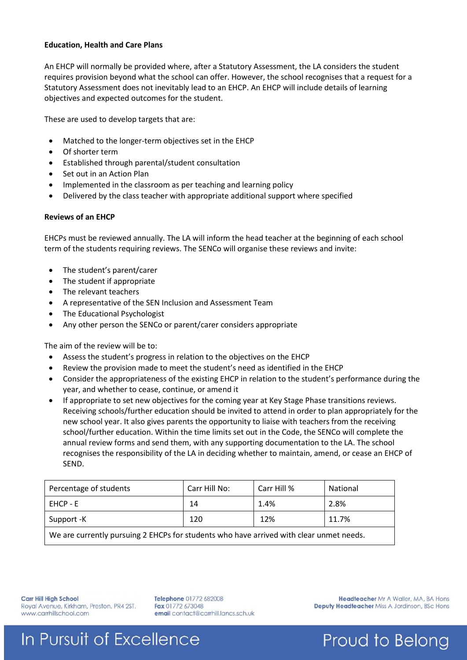#### **Education, Health and Care Plans**

An EHCP will normally be provided where, after a Statutory Assessment, the LA considers the student requires provision beyond what the school can offer. However, the school recognises that a request for a Statutory Assessment does not inevitably lead to an EHCP. An EHCP will include details of learning objectives and expected outcomes for the student.

These are used to develop targets that are:

- Matched to the longer-term objectives set in the EHCP
- Of shorter term
- Established through parental/student consultation
- Set out in an Action Plan
- Implemented in the classroom as per teaching and learning policy
- Delivered by the class teacher with appropriate additional support where specified

### **Reviews of an EHCP**

EHCPs must be reviewed annually. The LA will inform the head teacher at the beginning of each school term of the students requiring reviews. The SENCo will organise these reviews and invite:

- The student's parent/carer
- The student if appropriate
- The relevant teachers
- A representative of the SEN Inclusion and Assessment Team
- The Educational Psychologist
- Any other person the SENCo or parent/carer considers appropriate

The aim of the review will be to:

- Assess the student's progress in relation to the objectives on the EHCP
- Review the provision made to meet the student's need as identified in the EHCP
- Consider the appropriateness of the existing EHCP in relation to the student's performance during the year, and whether to cease, continue, or amend it
- If appropriate to set new objectives for the coming year at Key Stage Phase transitions reviews. Receiving schools/further education should be invited to attend in order to plan appropriately for the new school year. It also gives parents the opportunity to liaise with teachers from the receiving school/further education. Within the time limits set out in the Code, the SENCo will complete the annual review forms and send them, with any supporting documentation to the LA. The school recognises the responsibility of the LA in deciding whether to maintain, amend, or cease an EHCP of SEND.

| Percentage of students                                                                                                | Carr Hill No: | Carr Hill % | National |  |  |  |
|-----------------------------------------------------------------------------------------------------------------------|---------------|-------------|----------|--|--|--|
| EHCP - E                                                                                                              | 14            | 1.4%        | 2.8%     |  |  |  |
| Support -K                                                                                                            | 120           | 12%         | 11.7%    |  |  |  |
| الملحم والقوادي والمستطر والملازي المحررات والمستحدث والرزيف والمستقرق والمتراكب والمستقر والمستحدث والمستحدث والملاز |               |             |          |  |  |  |

We are currently pursuing 2 EHCPs for students who have arrived with clear unmet needs.

**Carr Hill High School** Royal Avenue, Kirkham, Preston. PR4 2ST. www.carrhillschool.com

Telephone 01772 682008 Fax 01772 673048 email contact@carrhill.lancs.sch.uk

Headteacher Mr A Waller, MA, BA Hons Deputy Headteacher Miss A Jordinson, BSc Hons

Proud to Belong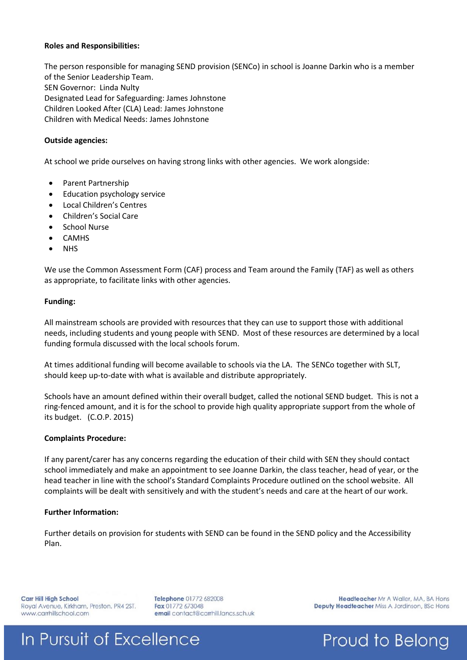### **Roles and Responsibilities:**

The person responsible for managing SEND provision (SENCo) in school is Joanne Darkin who is a member of the Senior Leadership Team. SEN Governor: Linda Nulty Designated Lead for Safeguarding: James Johnstone Children Looked After (CLA) Lead: James Johnstone Children with Medical Needs: James Johnstone

#### **Outside agencies:**

At school we pride ourselves on having strong links with other agencies. We work alongside:

- Parent Partnership
- Education psychology service
- Local Children's Centres
- Children's Social Care
- School Nurse
- CAMHS
- **NHS**

We use the Common Assessment Form (CAF) process and Team around the Family (TAF) as well as others as appropriate, to facilitate links with other agencies.

#### **Funding:**

All mainstream schools are provided with resources that they can use to support those with additional needs, including students and young people with SEND. Most of these resources are determined by a local funding formula discussed with the local schools forum.

At times additional funding will become available to schools via the LA. The SENCo together with SLT, should keep up-to-date with what is available and distribute appropriately.

Schools have an amount defined within their overall budget, called the notional SEND budget. This is not a ring-fenced amount, and it is for the school to provide high quality appropriate support from the whole of its budget. (C.O.P. 2015)

### **Complaints Procedure:**

If any parent/carer has any concerns regarding the education of their child with SEN they should contact school immediately and make an appointment to see Joanne Darkin, the class teacher, head of year, or the head teacher in line with the school's Standard Complaints Procedure outlined on the school website. All complaints will be dealt with sensitively and with the student's needs and care at the heart of our work.

### **Further Information:**

Further details on provision for students with SEND can be found in the SEND policy and the Accessibility Plan.

**Carr Hill High School** Royal Avenue, Kirkham, Preston. PR4 2ST. www.carrhillschool.com

Telephone 01772 682008 Fax 01772 673048 email contact@carrhill.lancs.sch.uk

Headteacher Mr A Waller, MA, BA Hons Deputy Headteacher Miss A Jordinson, BSc Hons

Proud to Belong